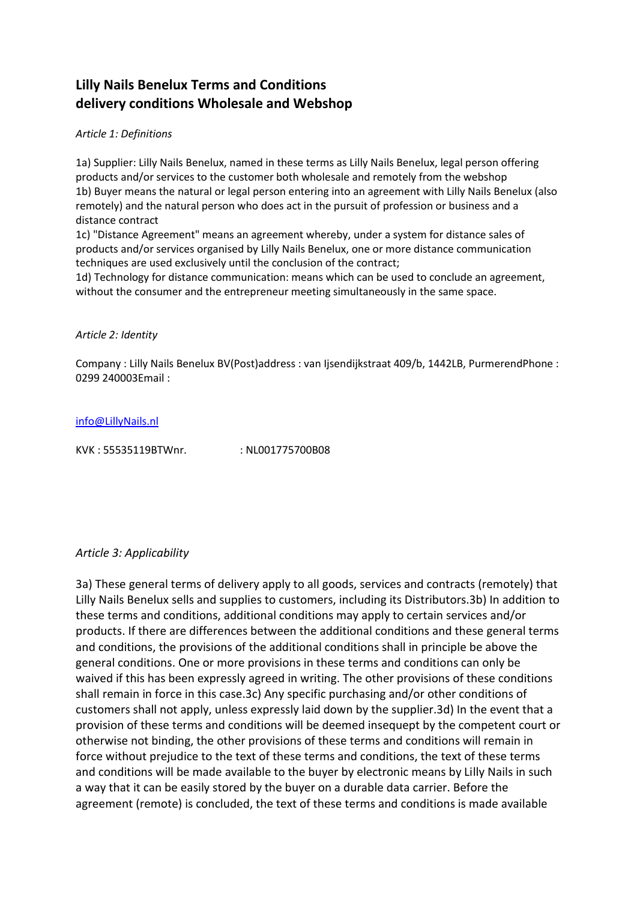# **Lilly Nails Benelux Terms and Conditions delivery conditions Wholesale and Webshop**

#### *Article 1: Definitions*

1a) Supplier: Lilly Nails Benelux, named in these terms as Lilly Nails Benelux, legal person offering products and/or services to the customer both wholesale and remotely from the webshop 1b) Buyer means the natural or legal person entering into an agreement with Lilly Nails Benelux (also remotely) and the natural person who does act in the pursuit of profession or business and a distance contract

1c) "Distance Agreement" means an agreement whereby, under a system for distance sales of products and/or services organised by Lilly Nails Benelux, one or more distance communication techniques are used exclusively until the conclusion of the contract;

1d) Technology for distance communication: means which can be used to conclude an agreement, without the consumer and the entrepreneur meeting simultaneously in the same space.

#### *Article 2: Identity*

Company : Lilly Nails Benelux BV(Post)address : van Ijsendijkstraat 409/b, 1442LB, PurmerendPhone : 0299 240003Email :

#### [info@LillyNails.nl](mailto:info@LillyNails.nl)

KVK: 55535119BTWnr. : NL001775700B08

#### *Article 3: Applicability*

3a) These general terms of delivery apply to all goods, services and contracts (remotely) that Lilly Nails Benelux sells and supplies to customers, including its Distributors.3b) In addition to these terms and conditions, additional conditions may apply to certain services and/or products. If there are differences between the additional conditions and these general terms and conditions, the provisions of the additional conditions shall in principle be above the general conditions. One or more provisions in these terms and conditions can only be waived if this has been expressly agreed in writing. The other provisions of these conditions shall remain in force in this case.3c) Any specific purchasing and/or other conditions of customers shall not apply, unless expressly laid down by the supplier.3d) In the event that a provision of these terms and conditions will be deemed insequept by the competent court or otherwise not binding, the other provisions of these terms and conditions will remain in force without prejudice to the text of these terms and conditions, the text of these terms and conditions will be made available to the buyer by electronic means by Lilly Nails in such a way that it can be easily stored by the buyer on a durable data carrier. Before the agreement (remote) is concluded, the text of these terms and conditions is made available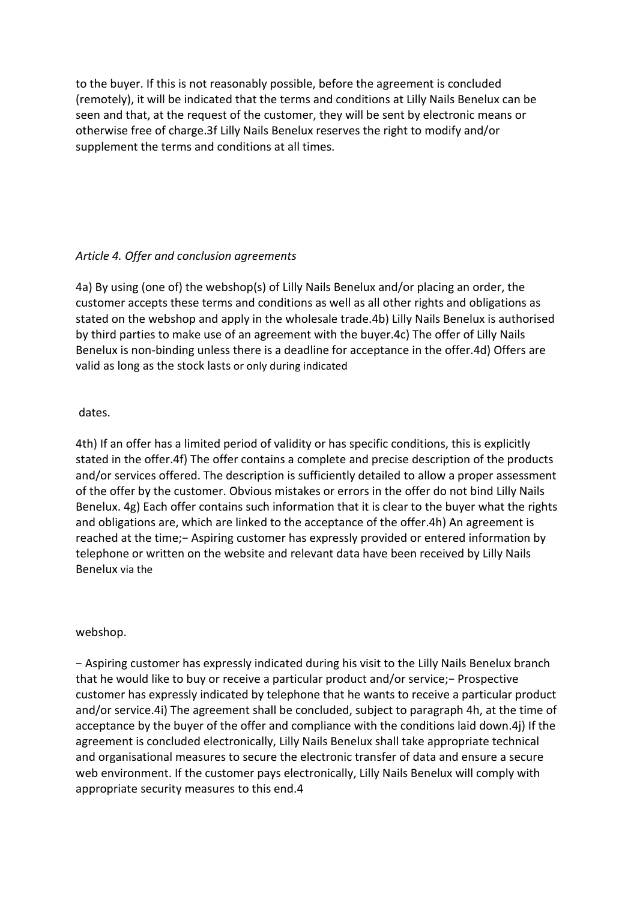to the buyer. If this is not reasonably possible, before the agreement is concluded (remotely), it will be indicated that the terms and conditions at Lilly Nails Benelux can be seen and that, at the request of the customer, they will be sent by electronic means or otherwise free of charge.3f Lilly Nails Benelux reserves the right to modify and/or supplement the terms and conditions at all times.

### *Article 4. Offer and conclusion agreements*

4a) By using (one of) the webshop(s) of Lilly Nails Benelux and/or placing an order, the customer accepts these terms and conditions as well as all other rights and obligations as stated on the webshop and apply in the wholesale trade.4b) Lilly Nails Benelux is authorised by third parties to make use of an agreement with the buyer.4c) The offer of Lilly Nails Benelux is non-binding unless there is a deadline for acceptance in the offer.4d) Offers are valid as long as the stock lasts or only during indicated

#### dates.

4th) If an offer has a limited period of validity or has specific conditions, this is explicitly stated in the offer.4f) The offer contains a complete and precise description of the products and/or services offered. The description is sufficiently detailed to allow a proper assessment of the offer by the customer. Obvious mistakes or errors in the offer do not bind Lilly Nails Benelux. 4g) Each offer contains such information that it is clear to the buyer what the rights and obligations are, which are linked to the acceptance of the offer.4h) An agreement is reached at the time;− Aspiring customer has expressly provided or entered information by telephone or written on the website and relevant data have been received by Lilly Nails Benelux via the

#### webshop.

− Aspiring customer has expressly indicated during his visit to the Lilly Nails Benelux branch that he would like to buy or receive a particular product and/or service;− Prospective customer has expressly indicated by telephone that he wants to receive a particular product and/or service.4i) The agreement shall be concluded, subject to paragraph 4h, at the time of acceptance by the buyer of the offer and compliance with the conditions laid down.4j) If the agreement is concluded electronically, Lilly Nails Benelux shall take appropriate technical and organisational measures to secure the electronic transfer of data and ensure a secure web environment. If the customer pays electronically, Lilly Nails Benelux will comply with appropriate security measures to this end.4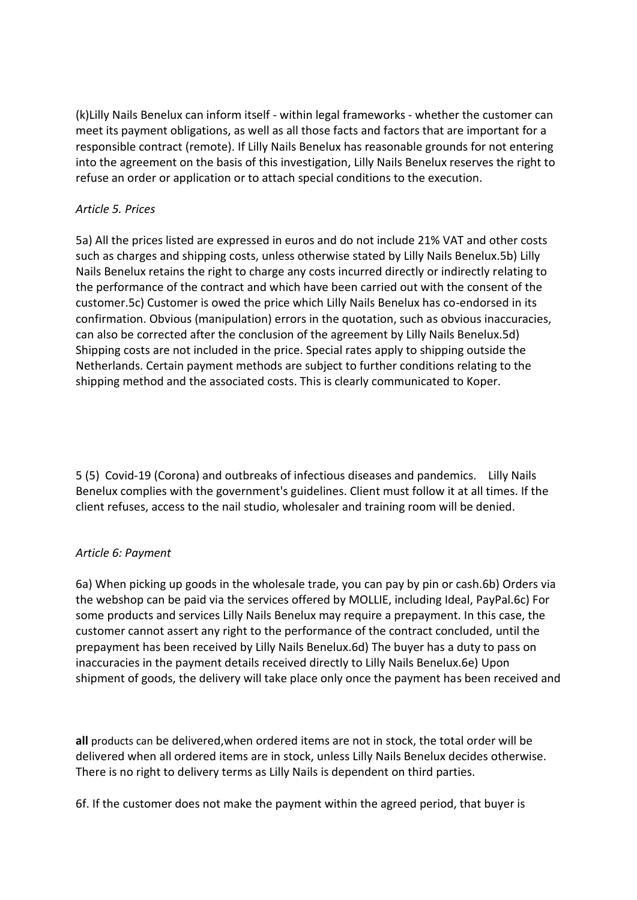(k)Lilly Nails Benelux can inform itself - within legal frameworks - whether the customer can meet its payment obligations, as well as all those facts and factors that are important for a responsible contract (remote). If Lilly Nails Benelux has reasonable grounds for not entering into the agreement on the basis of this investigation, Lilly Nails Benelux reserves the right to refuse an order or application or to attach special conditions to the execution.

### *Article 5. Prices*

5a) All the prices listed are expressed in euros and do not include 21% VAT and other costs such as charges and shipping costs, unless otherwise stated by Lilly Nails Benelux.5b) Lilly Nails Benelux retains the right to charge any costs incurred directly or indirectly relating to the performance of the contract and which have been carried out with the consent of the customer.5c) Customer is owed the price which Lilly Nails Benelux has co-endorsed in its confirmation. Obvious (manipulation) errors in the quotation, such as obvious inaccuracies, can also be corrected after the conclusion of the agreement by Lilly Nails Benelux.5d) Shipping costs are not included in the price. Special rates apply to shipping outside the Netherlands. Certain payment methods are subject to further conditions relating to the shipping method and the associated costs. This is clearly communicated to Koper.

5 (5) Covid-19 (Corona) and outbreaks of infectious diseases and pandemics. Lilly Nails Benelux complies with the government's guidelines. Client must follow it at all times. If the client refuses, access to the nail studio, wholesaler and training room will be denied.

#### *Article 6: Payment*

6a) When picking up goods in the wholesale trade, you can pay by pin or cash.6b) Orders via the webshop can be paid via the services offered by MOLLIE, including Ideal, PayPal.6c) For some products and services Lilly Nails Benelux may require a prepayment. In this case, the customer cannot assert any right to the performance of the contract concluded, until the prepayment has been received by Lilly Nails Benelux.6d) The buyer has a duty to pass on inaccuracies in the payment details received directly to Lilly Nails Benelux.6e) Upon shipment of goods, the delivery will take place only once the payment has been received and

**all** products can be delivered,when ordered items are not in stock, the total order will be delivered when all ordered items are in stock, unless Lilly Nails Benelux decides otherwise. There is no right to delivery terms as Lilly Nails is dependent on third parties.

6f. If the customer does not make the payment within the agreed period, that buyer is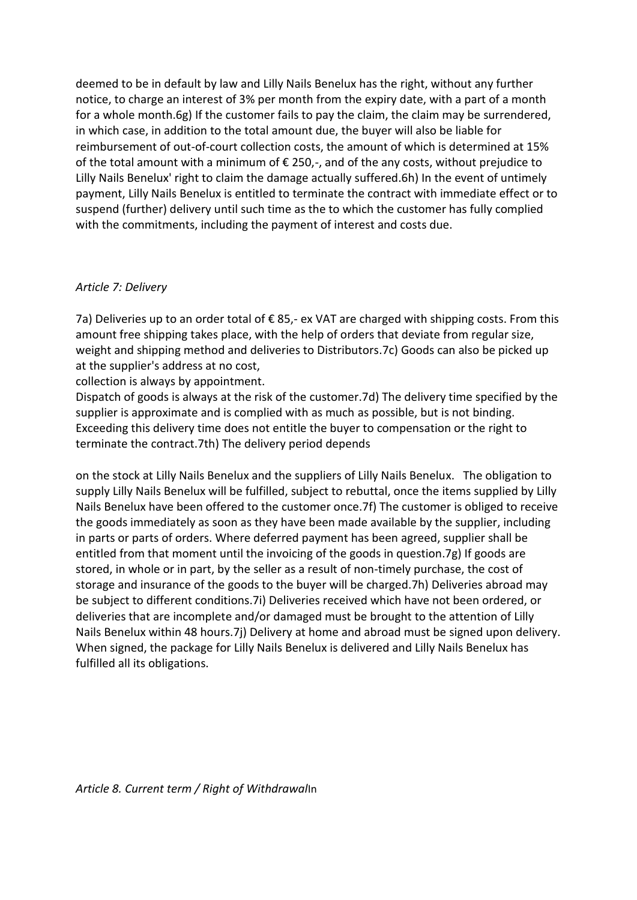deemed to be in default by law and Lilly Nails Benelux has the right, without any further notice, to charge an interest of 3% per month from the expiry date, with a part of a month for a whole month.6g) If the customer fails to pay the claim, the claim may be surrendered, in which case, in addition to the total amount due, the buyer will also be liable for reimbursement of out-of-court collection costs, the amount of which is determined at 15% of the total amount with a minimum of  $\epsilon$  250,-, and of the any costs, without prejudice to Lilly Nails Benelux' right to claim the damage actually suffered.6h) In the event of untimely payment, Lilly Nails Benelux is entitled to terminate the contract with immediate effect or to suspend (further) delivery until such time as the to which the customer has fully complied with the commitments, including the payment of interest and costs due.

#### *Article 7: Delivery*

7a) Deliveries up to an order total of  $\epsilon$  85,- ex VAT are charged with shipping costs. From this amount free shipping takes place, with the help of orders that deviate from regular size, weight and shipping method and deliveries to Distributors.7c) Goods can also be picked up at the supplier's address at no cost,

collection is always by appointment.

Dispatch of goods is always at the risk of the customer.7d) The delivery time specified by the supplier is approximate and is complied with as much as possible, but is not binding. Exceeding this delivery time does not entitle the buyer to compensation or the right to terminate the contract.7th) The delivery period depends

on the stock at Lilly Nails Benelux and the suppliers of Lilly Nails Benelux. The obligation to supply Lilly Nails Benelux will be fulfilled, subject to rebuttal, once the items supplied by Lilly Nails Benelux have been offered to the customer once.7f) The customer is obliged to receive the goods immediately as soon as they have been made available by the supplier, including in parts or parts of orders. Where deferred payment has been agreed, supplier shall be entitled from that moment until the invoicing of the goods in question.7g) If goods are stored, in whole or in part, by the seller as a result of non-timely purchase, the cost of storage and insurance of the goods to the buyer will be charged.7h) Deliveries abroad may be subject to different conditions.7i) Deliveries received which have not been ordered, or deliveries that are incomplete and/or damaged must be brought to the attention of Lilly Nails Benelux within 48 hours.7j) Delivery at home and abroad must be signed upon delivery. When signed, the package for Lilly Nails Benelux is delivered and Lilly Nails Benelux has fulfilled all its obligations.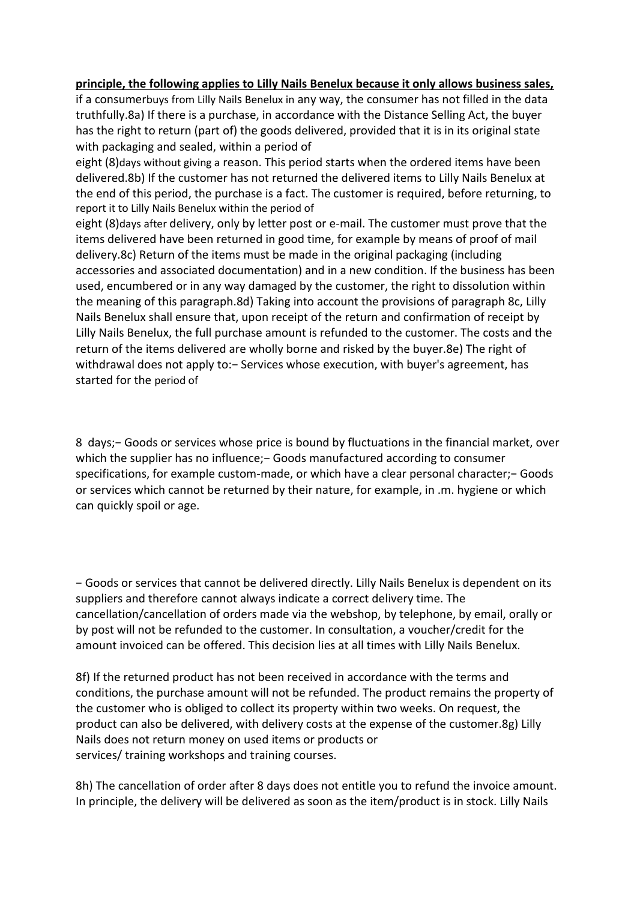#### **principle, the following applies to Lilly Nails Benelux because it only allows business sales,**

if a consumerbuys from Lilly Nails Benelux in any way, the consumer has not filled in the data truthfully.8a) If there is a purchase, in accordance with the Distance Selling Act, the buyer has the right to return (part of) the goods delivered, provided that it is in its original state with packaging and sealed, within a period of

eight (8)days without giving a reason. This period starts when the ordered items have been delivered.8b) If the customer has not returned the delivered items to Lilly Nails Benelux at the end of this period, the purchase is a fact. The customer is required, before returning, to report it to Lilly Nails Benelux within the period of

eight (8)days after delivery, only by letter post or e-mail. The customer must prove that the items delivered have been returned in good time, for example by means of proof of mail delivery.8c) Return of the items must be made in the original packaging (including accessories and associated documentation) and in a new condition. If the business has been used, encumbered or in any way damaged by the customer, the right to dissolution within the meaning of this paragraph.8d) Taking into account the provisions of paragraph 8c, Lilly Nails Benelux shall ensure that, upon receipt of the return and confirmation of receipt by Lilly Nails Benelux, the full purchase amount is refunded to the customer. The costs and the return of the items delivered are wholly borne and risked by the buyer.8e) The right of withdrawal does not apply to:− Services whose execution, with buyer's agreement, has started for the period of

8 days;− Goods or services whose price is bound by fluctuations in the financial market, over which the supplier has no influence;– Goods manufactured according to consumer specifications, for example custom-made, or which have a clear personal character;− Goods or services which cannot be returned by their nature, for example, in .m. hygiene or which can quickly spoil or age.

− Goods or services that cannot be delivered directly. Lilly Nails Benelux is dependent on its suppliers and therefore cannot always indicate a correct delivery time. The cancellation/cancellation of orders made via the webshop, by telephone, by email, orally or by post will not be refunded to the customer. In consultation, a voucher/credit for the amount invoiced can be offered. This decision lies at all times with Lilly Nails Benelux.

8f) If the returned product has not been received in accordance with the terms and conditions, the purchase amount will not be refunded. The product remains the property of the customer who is obliged to collect its property within two weeks. On request, the product can also be delivered, with delivery costs at the expense of the customer.8g) Lilly Nails does not return money on used items or products or services/ training workshops and training courses.

8h) The cancellation of order after 8 days does not entitle you to refund the invoice amount. In principle, the delivery will be delivered as soon as the item/product is in stock. Lilly Nails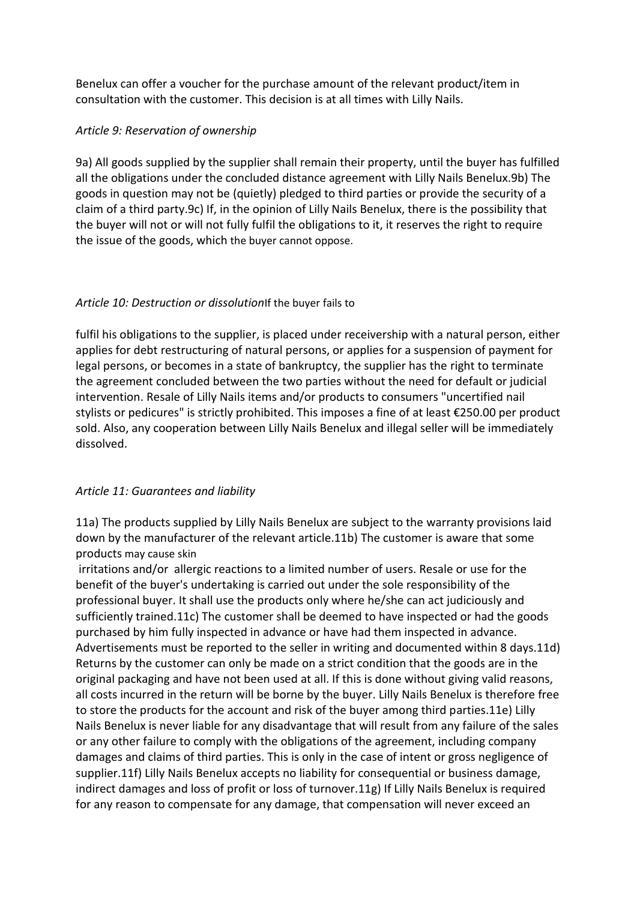Benelux can offer a voucher for the purchase amount of the relevant product/item in consultation with the customer. This decision is at all times with Lilly Nails.

### *Article 9: Reservation of ownership*

9a) All goods supplied by the supplier shall remain their property, until the buyer has fulfilled all the obligations under the concluded distance agreement with Lilly Nails Benelux.9b) The goods in question may not be (quietly) pledged to third parties or provide the security of a claim of a third party.9c) If, in the opinion of Lilly Nails Benelux, there is the possibility that the buyer will not or will not fully fulfil the obligations to it, it reserves the right to require the issue of the goods, which the buyer cannot oppose.

## *Article 10: Destruction or dissolution*If the buyer fails to

fulfil his obligations to the supplier, is placed under receivership with a natural person, either applies for debt restructuring of natural persons, or applies for a suspension of payment for legal persons, or becomes in a state of bankruptcy, the supplier has the right to terminate the agreement concluded between the two parties without the need for default or judicial intervention. Resale of Lilly Nails items and/or products to consumers "uncertified nail stylists or pedicures" is strictly prohibited. This imposes a fine of at least €250.00 per product sold. Also, any cooperation between Lilly Nails Benelux and illegal seller will be immediately dissolved.

## *Article 11: Guarantees and liability*

11a) The products supplied by Lilly Nails Benelux are subject to the warranty provisions laid down by the manufacturer of the relevant article.11b) The customer is aware that some products may cause skin

irritations and/or allergic reactions to a limited number of users. Resale or use for the benefit of the buyer's undertaking is carried out under the sole responsibility of the professional buyer. It shall use the products only where he/she can act judiciously and sufficiently trained.11c) The customer shall be deemed to have inspected or had the goods purchased by him fully inspected in advance or have had them inspected in advance. Advertisements must be reported to the seller in writing and documented within 8 days.11d) Returns by the customer can only be made on a strict condition that the goods are in the original packaging and have not been used at all. If this is done without giving valid reasons, all costs incurred in the return will be borne by the buyer. Lilly Nails Benelux is therefore free to store the products for the account and risk of the buyer among third parties.11e) Lilly Nails Benelux is never liable for any disadvantage that will result from any failure of the sales or any other failure to comply with the obligations of the agreement, including company damages and claims of third parties. This is only in the case of intent or gross negligence of supplier.11f) Lilly Nails Benelux accepts no liability for consequential or business damage, indirect damages and loss of profit or loss of turnover.11g) If Lilly Nails Benelux is required for any reason to compensate for any damage, that compensation will never exceed an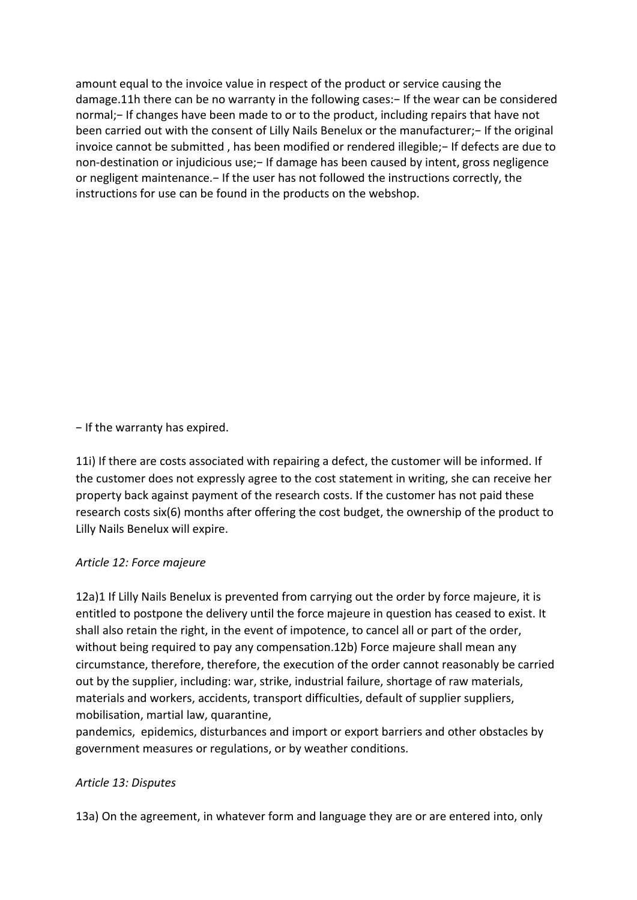amount equal to the invoice value in respect of the product or service causing the damage.11h there can be no warranty in the following cases:- If the wear can be considered normal;− If changes have been made to or to the product, including repairs that have not been carried out with the consent of Lilly Nails Benelux or the manufacturer;− If the original invoice cannot be submitted , has been modified or rendered illegible;− If defects are due to non-destination or injudicious use; - If damage has been caused by intent, gross negligence or negligent maintenance.− If the user has not followed the instructions correctly, the instructions for use can be found in the products on the webshop.

− If the warranty has expired.

11i) If there are costs associated with repairing a defect, the customer will be informed. If the customer does not expressly agree to the cost statement in writing, she can receive her property back against payment of the research costs. If the customer has not paid these research costs six(6) months after offering the cost budget, the ownership of the product to Lilly Nails Benelux will expire.

### *Article 12: Force majeure*

12a)1 If Lilly Nails Benelux is prevented from carrying out the order by force majeure, it is entitled to postpone the delivery until the force majeure in question has ceased to exist. It shall also retain the right, in the event of impotence, to cancel all or part of the order, without being required to pay any compensation.12b) Force majeure shall mean any circumstance, therefore, therefore, the execution of the order cannot reasonably be carried out by the supplier, including: war, strike, industrial failure, shortage of raw materials, materials and workers, accidents, transport difficulties, default of supplier suppliers, mobilisation, martial law, quarantine,

pandemics, epidemics, disturbances and import or export barriers and other obstacles by government measures or regulations, or by weather conditions.

## *Article 13: Disputes*

13a) On the agreement, in whatever form and language they are or are entered into, only